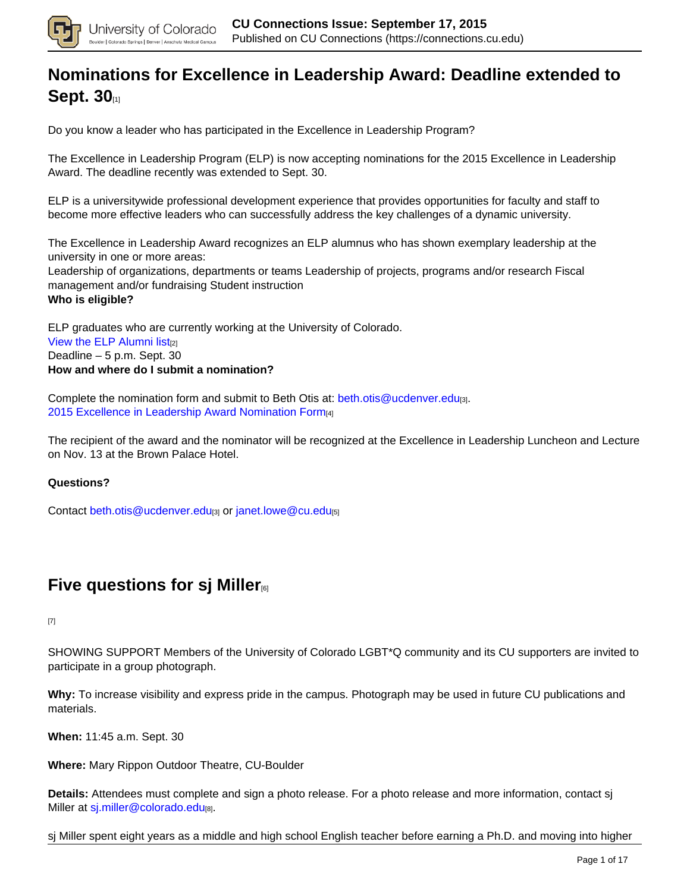

## **[Nominations for Excellence in Leadership Award: Deadline extended to](https://connections.cu.edu/stories/nominations-excellence-leadership-award-deadline-extended-sept-30) [Sept. 30](https://connections.cu.edu/stories/nominations-excellence-leadership-award-deadline-extended-sept-30)**[1]

Do you know a leader who has participated in the Excellence in Leadership Program?

The Excellence in Leadership Program (ELP) is now accepting nominations for the 2015 Excellence in Leadership Award. The deadline recently was extended to Sept. 30.

ELP is a universitywide professional development experience that provides opportunities for faculty and staff to become more effective leaders who can successfully address the key challenges of a dynamic university.

The Excellence in Leadership Award recognizes an ELP alumnus who has shown exemplary leadership at the university in one or more areas: Leadership of organizations, departments or teams Leadership of projects, programs and/or research Fiscal management and/or fundraising Student instruction **Who is eligible?**

ELP graduates who are currently working at the University of Colorado. View the ELP Alumni list[2] Deadline – 5 p.m. Sept. 30 **How and where do I submit a nomination?**

Complete the nomination form and submit to Beth Otis at: beth.otis@ucdenver.edu $_{[3]}$ . 2015 Excellence in Leadership Award Nomination Form[4]

The recipient of the award and the nominator will be recognized at the Excellence in Leadership Luncheon and Lecture on Nov. 13 at the Brown Palace Hotel.

**Questions?**

Contact beth.otis@ucdenver.edu[3] or janet.lowe@cu.edu[5]

## **Five questions for sj Miller**<sup>[6]</sup>

[7]

SHOWING SUPPORT Members of the University of Colorado LGBT\*Q community and its CU supporters are invited to participate in a group photograph.

**Why:** To increase visibility and express pride in the campus. Photograph may be used in future CU publications and materials.

**When:** 11:45 a.m. Sept. 30

**Where:** Mary Rippon Outdoor Theatre, CU-Boulder

**Details:** Attendees must complete and sign a photo release. For a photo release and more information, contact sj Miller at sj.miller@colorado.edu[8].

sj Miller spent eight years as a middle and high school English teacher before earning a Ph.D. and moving into higher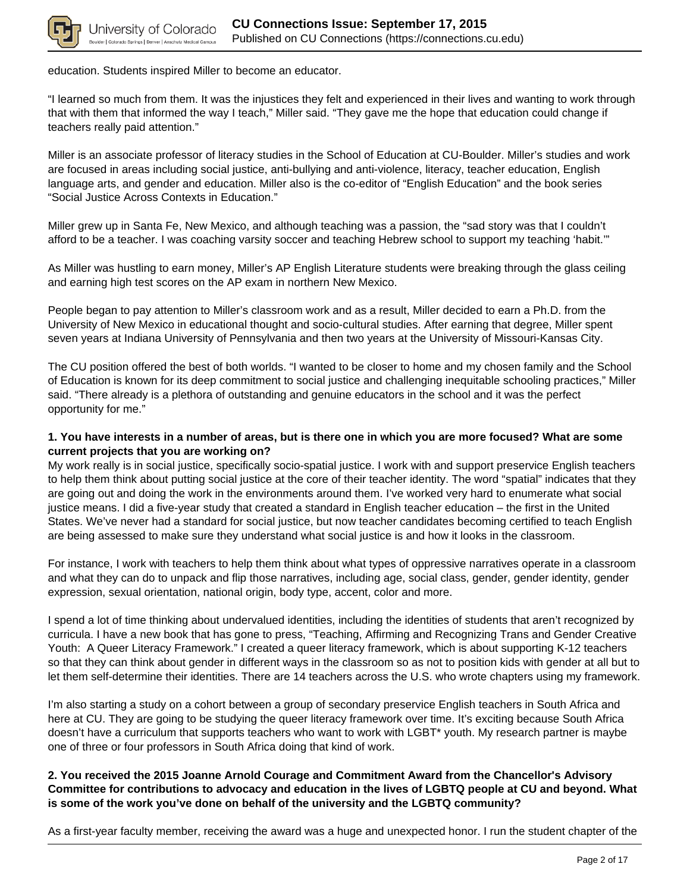

education. Students inspired Miller to become an educator.

"I learned so much from them. It was the injustices they felt and experienced in their lives and wanting to work through that with them that informed the way I teach," Miller said. "They gave me the hope that education could change if teachers really paid attention."

Miller is an associate professor of literacy studies in the School of Education at CU-Boulder. Miller's studies and work are focused in areas including social justice, anti-bullying and anti-violence, literacy, teacher education, English language arts, and gender and education. Miller also is the co-editor of "English Education" and the book series "Social Justice Across Contexts in Education."

Miller grew up in Santa Fe, New Mexico, and although teaching was a passion, the "sad story was that I couldn't afford to be a teacher. I was coaching varsity soccer and teaching Hebrew school to support my teaching 'habit.'"

As Miller was hustling to earn money, Miller's AP English Literature students were breaking through the glass ceiling and earning high test scores on the AP exam in northern New Mexico.

People began to pay attention to Miller's classroom work and as a result, Miller decided to earn a Ph.D. from the University of New Mexico in educational thought and socio-cultural studies. After earning that degree, Miller spent seven years at Indiana University of Pennsylvania and then two years at the University of Missouri-Kansas City.

The CU position offered the best of both worlds. "I wanted to be closer to home and my chosen family and the School of Education is known for its deep commitment to social justice and challenging inequitable schooling practices," Miller said. "There already is a plethora of outstanding and genuine educators in the school and it was the perfect opportunity for me."

### **1. You have interests in a number of areas, but is there one in which you are more focused? What are some current projects that you are working on?**

My work really is in social justice, specifically socio-spatial justice. I work with and support preservice English teachers to help them think about putting social justice at the core of their teacher identity. The word "spatial" indicates that they are going out and doing the work in the environments around them. I've worked very hard to enumerate what social justice means. I did a five-year study that created a standard in English teacher education – the first in the United States. We've never had a standard for social justice, but now teacher candidates becoming certified to teach English are being assessed to make sure they understand what social justice is and how it looks in the classroom.

For instance, I work with teachers to help them think about what types of oppressive narratives operate in a classroom and what they can do to unpack and flip those narratives, including age, social class, gender, gender identity, gender expression, sexual orientation, national origin, body type, accent, color and more.

I spend a lot of time thinking about undervalued identities, including the identities of students that aren't recognized by curricula. I have a new book that has gone to press, "Teaching, Affirming and Recognizing Trans and Gender Creative Youth: A Queer Literacy Framework." I created a queer literacy framework, which is about supporting K-12 teachers so that they can think about gender in different ways in the classroom so as not to position kids with gender at all but to let them self-determine their identities. There are 14 teachers across the U.S. who wrote chapters using my framework.

I'm also starting a study on a cohort between a group of secondary preservice English teachers in South Africa and here at CU. They are going to be studying the queer literacy framework over time. It's exciting because South Africa doesn't have a curriculum that supports teachers who want to work with LGBT\* youth. My research partner is maybe one of three or four professors in South Africa doing that kind of work.

### **2. You received the 2015 Joanne Arnold Courage and Commitment Award from the Chancellor's Advisory Committee for contributions to advocacy and education in the lives of LGBTQ people at CU and beyond. What is some of the work you've done on behalf of the university and the LGBTQ community?**

As a first-year faculty member, receiving the award was a huge and unexpected honor. I run the student chapter of the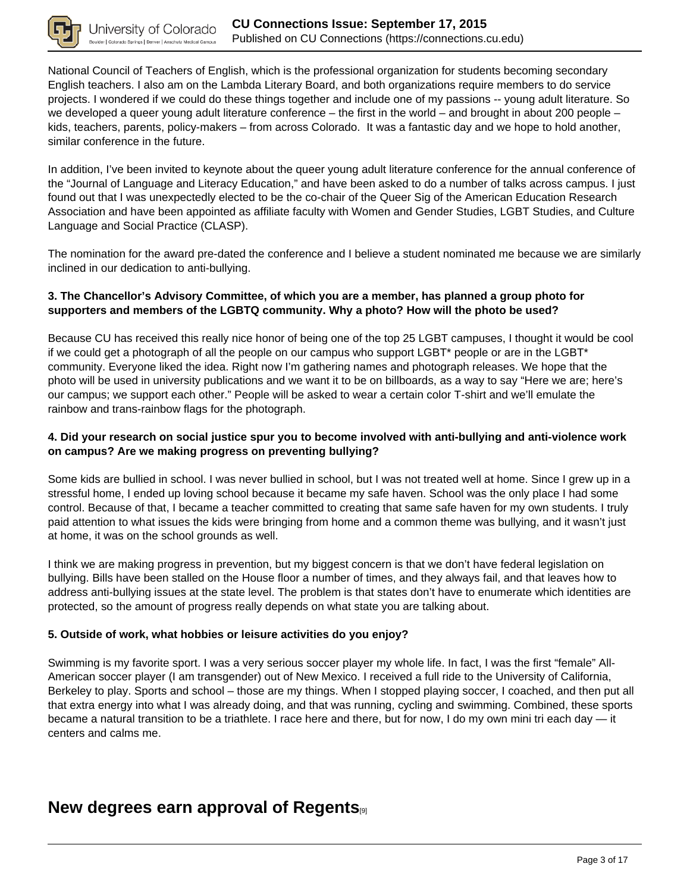

National Council of Teachers of English, which is the professional organization for students becoming secondary English teachers. I also am on the Lambda Literary Board, and both organizations require members to do service projects. I wondered if we could do these things together and include one of my passions -- young adult literature. So we developed a queer young adult literature conference – the first in the world – and brought in about 200 people – kids, teachers, parents, policy-makers – from across Colorado. It was a fantastic day and we hope to hold another, similar conference in the future.

In addition, I've been invited to keynote about the queer young adult literature conference for the annual conference of the "Journal of Language and Literacy Education," and have been asked to do a number of talks across campus. I just found out that I was unexpectedly elected to be the co-chair of the Queer Sig of the American Education Research Association and have been appointed as affiliate faculty with Women and Gender Studies, LGBT Studies, and Culture Language and Social Practice (CLASP).

The nomination for the award pre-dated the conference and I believe a student nominated me because we are similarly inclined in our dedication to anti-bullying.

### **3. The Chancellor's Advisory Committee, of which you are a member, has planned a group photo for supporters and members of the LGBTQ community. Why a photo? How will the photo be used?**

Because CU has received this really nice honor of being one of the top 25 LGBT campuses, I thought it would be cool if we could get a photograph of all the people on our campus who support LGBT\* people or are in the LGBT\* community. Everyone liked the idea. Right now I'm gathering names and photograph releases. We hope that the photo will be used in university publications and we want it to be on billboards, as a way to say "Here we are; here's our campus; we support each other." People will be asked to wear a certain color T-shirt and we'll emulate the rainbow and trans-rainbow flags for the photograph.

### **4. Did your research on social justice spur you to become involved with anti-bullying and anti-violence work on campus? Are we making progress on preventing bullying?**

Some kids are bullied in school. I was never bullied in school, but I was not treated well at home. Since I grew up in a stressful home, I ended up loving school because it became my safe haven. School was the only place I had some control. Because of that, I became a teacher committed to creating that same safe haven for my own students. I truly paid attention to what issues the kids were bringing from home and a common theme was bullying, and it wasn't just at home, it was on the school grounds as well.

I think we are making progress in prevention, but my biggest concern is that we don't have federal legislation on bullying. Bills have been stalled on the House floor a number of times, and they always fail, and that leaves how to address anti-bullying issues at the state level. The problem is that states don't have to enumerate which identities are protected, so the amount of progress really depends on what state you are talking about.

### **5. Outside of work, what hobbies or leisure activities do you enjoy?**

Swimming is my favorite sport. I was a very serious soccer player my whole life. In fact, I was the first "female" All-American soccer player (I am transgender) out of New Mexico. I received a full ride to the University of California, Berkeley to play. Sports and school – those are my things. When I stopped playing soccer, I coached, and then put all that extra energy into what I was already doing, and that was running, cycling and swimming. Combined, these sports became a natural transition to be a triathlete. I race here and there, but for now, I do my own mini tri each day — it centers and calms me.

### **New degrees earn approval of Regents**[9]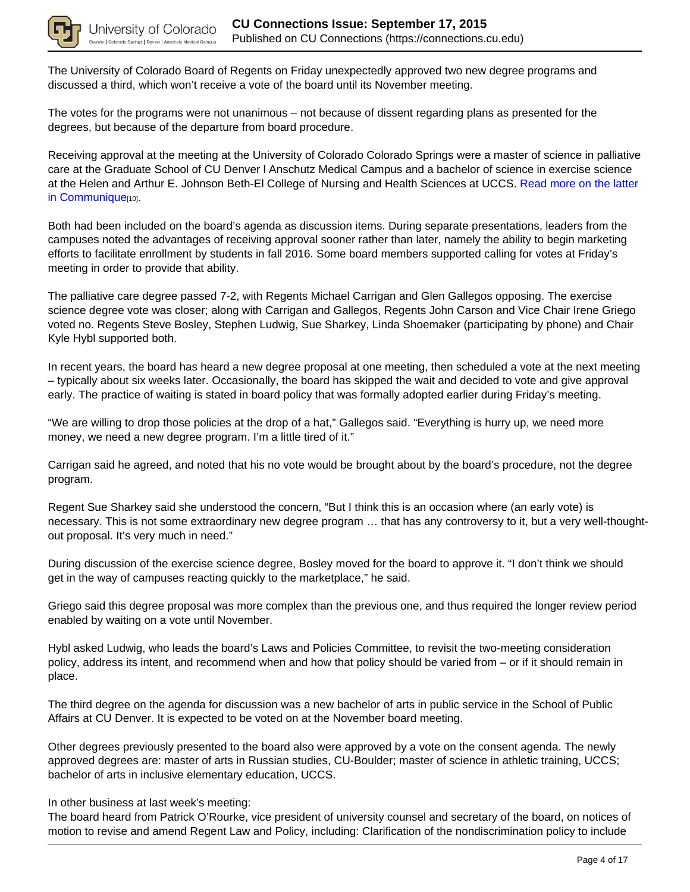

The University of Colorado Board of Regents on Friday unexpectedly approved two new degree programs and discussed a third, which won't receive a vote of the board until its November meeting.

The votes for the programs were not unanimous – not because of dissent regarding plans as presented for the degrees, but because of the departure from board procedure.

Receiving approval at the meeting at the University of Colorado Colorado Springs were a master of science in palliative care at the Graduate School of CU Denver l Anschutz Medical Campus and a bachelor of science in exercise science at the Helen and Arthur E. Johnson Beth-El College of Nursing and Health Sciences at UCCS. Read more on the latter in Communique<sup>[10]</sup>.

Both had been included on the board's agenda as discussion items. During separate presentations, leaders from the campuses noted the advantages of receiving approval sooner rather than later, namely the ability to begin marketing efforts to facilitate enrollment by students in fall 2016. Some board members supported calling for votes at Friday's meeting in order to provide that ability.

The palliative care degree passed 7-2, with Regents Michael Carrigan and Glen Gallegos opposing. The exercise science degree vote was closer; along with Carrigan and Gallegos, Regents John Carson and Vice Chair Irene Griego voted no. Regents Steve Bosley, Stephen Ludwig, Sue Sharkey, Linda Shoemaker (participating by phone) and Chair Kyle Hybl supported both.

In recent years, the board has heard a new degree proposal at one meeting, then scheduled a vote at the next meeting – typically about six weeks later. Occasionally, the board has skipped the wait and decided to vote and give approval early. The practice of waiting is stated in board policy that was formally adopted earlier during Friday's meeting.

"We are willing to drop those policies at the drop of a hat," Gallegos said. "Everything is hurry up, we need more money, we need a new degree program. I'm a little tired of it."

Carrigan said he agreed, and noted that his no vote would be brought about by the board's procedure, not the degree program.

Regent Sue Sharkey said she understood the concern, "But I think this is an occasion where (an early vote) is necessary. This is not some extraordinary new degree program … that has any controversy to it, but a very well-thoughtout proposal. It's very much in need."

During discussion of the exercise science degree, Bosley moved for the board to approve it. "I don't think we should get in the way of campuses reacting quickly to the marketplace," he said.

Griego said this degree proposal was more complex than the previous one, and thus required the longer review period enabled by waiting on a vote until November.

Hybl asked Ludwig, who leads the board's Laws and Policies Committee, to revisit the two-meeting consideration policy, address its intent, and recommend when and how that policy should be varied from – or if it should remain in place.

The third degree on the agenda for discussion was a new bachelor of arts in public service in the School of Public Affairs at CU Denver. It is expected to be voted on at the November board meeting.

Other degrees previously presented to the board also were approved by a vote on the consent agenda. The newly approved degrees are: master of arts in Russian studies, CU-Boulder; master of science in athletic training, UCCS; bachelor of arts in inclusive elementary education, UCCS.

In other business at last week's meeting:

The board heard from Patrick O'Rourke, vice president of university counsel and secretary of the board, on notices of motion to revise and amend Regent Law and Policy, including: Clarification of the nondiscrimination policy to include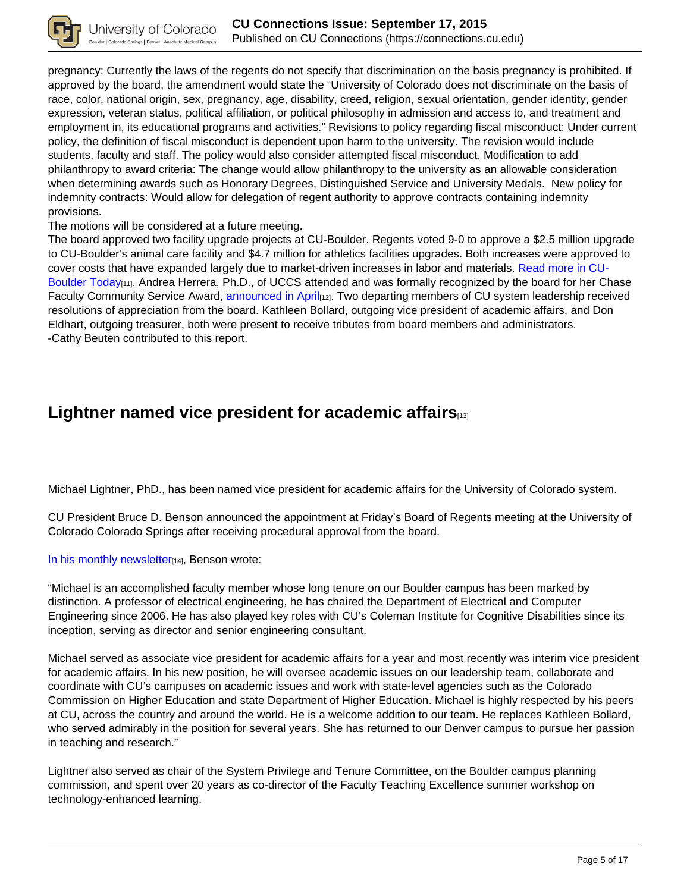

pregnancy: Currently the laws of the regents do not specify that discrimination on the basis pregnancy is prohibited. If approved by the board, the amendment would state the "University of Colorado does not discriminate on the basis of race, color, national origin, sex, pregnancy, age, disability, creed, religion, sexual orientation, gender identity, gender expression, veteran status, political affiliation, or political philosophy in admission and access to, and treatment and employment in, its educational programs and activities." Revisions to policy regarding fiscal misconduct: Under current policy, the definition of fiscal misconduct is dependent upon harm to the university. The revision would include students, faculty and staff. The policy would also consider attempted fiscal misconduct. Modification to add philanthropy to award criteria: The change would allow philanthropy to the university as an allowable consideration when determining awards such as Honorary Degrees, Distinguished Service and University Medals. New policy for indemnity contracts: Would allow for delegation of regent authority to approve contracts containing indemnity provisions.

The motions will be considered at a future meeting.

The board approved two facility upgrade projects at CU-Boulder. Regents voted 9-0 to approve a \$2.5 million upgrade to CU-Boulder's animal care facility and \$4.7 million for athletics facilities upgrades. Both increases were approved to cover costs that have expanded largely due to market-driven increases in labor and materials. Read more in CU-Boulder Today<sub>[11]</sub>. Andrea Herrera, Ph.D., of UCCS attended and was formally recognized by the board for her Chase Faculty Community Service Award, announced in April<sub>[12]</sub>. Two departing members of CU system leadership received resolutions of appreciation from the board. Kathleen Bollard, outgoing vice president of academic affairs, and Don Eldhart, outgoing treasurer, both were present to receive tributes from board members and administrators. -Cathy Beuten contributed to this report.

## **Lightner named vice president for academic affairs**[13]

Michael Lightner, PhD., has been named vice president for academic affairs for the University of Colorado system.

CU President Bruce D. Benson announced the appointment at Friday's Board of Regents meeting at the University of Colorado Colorado Springs after receiving procedural approval from the board.

In his monthly newsletter<sub>[14]</sub>, Benson wrote:

"Michael is an accomplished faculty member whose long tenure on our Boulder campus has been marked by distinction. A professor of electrical engineering, he has chaired the Department of Electrical and Computer Engineering since 2006. He has also played key roles with CU's Coleman Institute for Cognitive Disabilities since its inception, serving as director and senior engineering consultant.

Michael served as associate vice president for academic affairs for a year and most recently was interim vice president for academic affairs. In his new position, he will oversee academic issues on our leadership team, collaborate and coordinate with CU's campuses on academic issues and work with state-level agencies such as the Colorado Commission on Higher Education and state Department of Higher Education. Michael is highly respected by his peers at CU, across the country and around the world. He is a welcome addition to our team. He replaces Kathleen Bollard, who served admirably in the position for several years. She has returned to our Denver campus to pursue her passion in teaching and research."

Lightner also served as chair of the System Privilege and Tenure Committee, on the Boulder campus planning commission, and spent over 20 years as co-director of the Faculty Teaching Excellence summer workshop on technology-enhanced learning.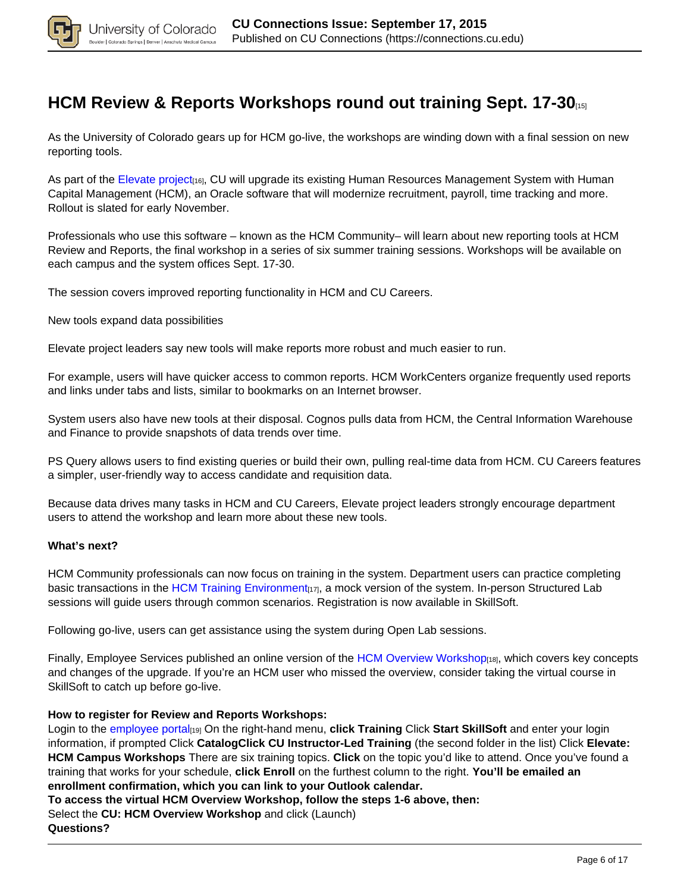

## **HCM Review & Reports Workshops round out training Sept. 17-30**

As the University of Colorado gears up for HCM go-live, the workshops are winding down with a final session on new reporting tools.

As part of the Elevate project<sub>[16]</sub>, CU will upgrade its existing Human Resources Management System with Human Capital Management (HCM), an Oracle software that will modernize recruitment, payroll, time tracking and more. Rollout is slated for early November.

Professionals who use this software – known as the HCM Community– will learn about new reporting tools at HCM Review and Reports, the final workshop in a series of six summer training sessions. Workshops will be available on each campus and the system offices Sept. 17-30.

The session covers improved reporting functionality in HCM and CU Careers.

New tools expand data possibilities

Elevate project leaders say new tools will make reports more robust and much easier to run.

For example, users will have quicker access to common reports. HCM WorkCenters organize frequently used reports and links under tabs and lists, similar to bookmarks on an Internet browser.

System users also have new tools at their disposal. Cognos pulls data from HCM, the Central Information Warehouse and Finance to provide snapshots of data trends over time.

PS Query allows users to find existing queries or build their own, pulling real-time data from HCM. CU Careers features a simpler, user-friendly way to access candidate and requisition data.

Because data drives many tasks in HCM and CU Careers, Elevate project leaders strongly encourage department users to attend the workshop and learn more about these new tools.

#### **What's next?**

HCM Community professionals can now focus on training in the system. Department users can practice completing basic transactions in the HCM Training Environment $t_{[17]}$ , a mock version of the system. In-person Structured Lab sessions will guide users through common scenarios. Registration is now available in SkillSoft.

Following go-live, users can get assistance using the system during Open Lab sessions.

Finally, Employee Services published an online version of the HCM Overview Workshop<sub>[18]</sub>, which covers key concepts and changes of the upgrade. If you're an HCM user who missed the overview, consider taking the virtual course in SkillSoft to catch up before go-live.

#### **How to register for Review and Reports Workshops:**

Login to the employee portal[19] On the right-hand menu, **click Training** Click **Start SkillSoft** and enter your login information, if prompted Click **CatalogClick CU Instructor-Led Training** (the second folder in the list) Click **Elevate: HCM Campus Workshops** There are six training topics. **Click** on the topic you'd like to attend. Once you've found a training that works for your schedule, **click Enroll** on the furthest column to the right. **You'll be emailed an enrollment confirmation, which you can link to your Outlook calendar.**

**To access the virtual HCM Overview Workshop, follow the steps 1-6 above, then:**

Select the **CU: HCM Overview Workshop** and click (Launch)

**Questions?**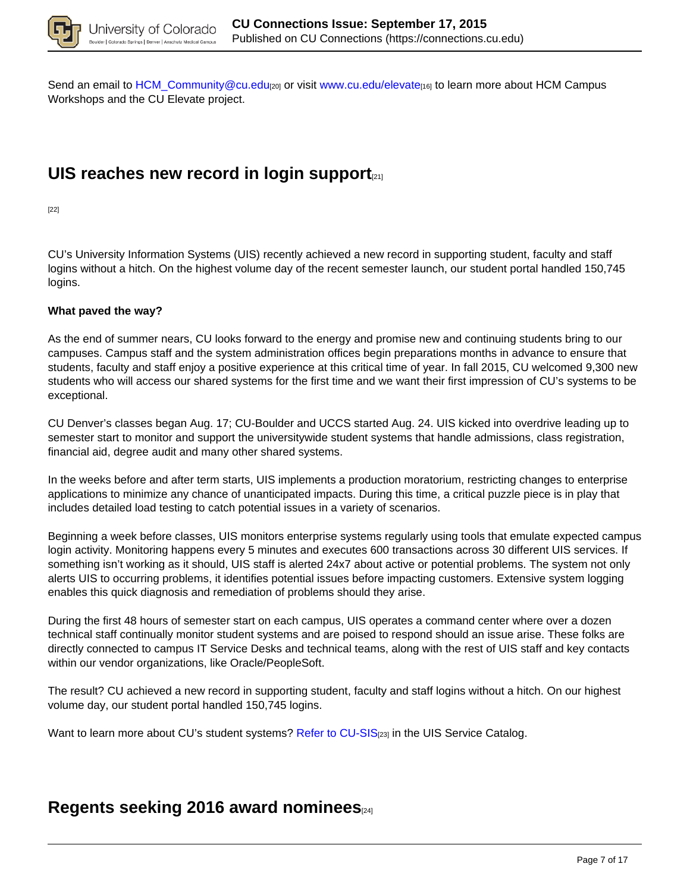

Send an email to HCM\_Community@cu.edu<sub>[20]</sub> or visit www.cu.edu/elevate<sub>[16]</sub> to learn more about HCM Campus Workshops and the CU Elevate project.

## **UIS reaches new record in login support**[21]

[22]

CU's University Information Systems (UIS) recently achieved a new record in supporting student, faculty and staff logins without a hitch. On the highest volume day of the recent semester launch, our student portal handled 150,745 logins.

### **What paved the way?**

As the end of summer nears, CU looks forward to the energy and promise new and continuing students bring to our campuses. Campus staff and the system administration offices begin preparations months in advance to ensure that students, faculty and staff enjoy a positive experience at this critical time of year. In fall 2015, CU welcomed 9,300 new students who will access our shared systems for the first time and we want their first impression of CU's systems to be exceptional.

CU Denver's classes began Aug. 17; CU-Boulder and UCCS started Aug. 24. UIS kicked into overdrive leading up to semester start to monitor and support the universitywide student systems that handle admissions, class registration, financial aid, degree audit and many other shared systems.

In the weeks before and after term starts, UIS implements a production moratorium, restricting changes to enterprise applications to minimize any chance of unanticipated impacts. During this time, a critical puzzle piece is in play that includes detailed load testing to catch potential issues in a variety of scenarios.

Beginning a week before classes, UIS monitors enterprise systems regularly using tools that emulate expected campus login activity. Monitoring happens every 5 minutes and executes 600 transactions across 30 different UIS services. If something isn't working as it should, UIS staff is alerted 24x7 about active or potential problems. The system not only alerts UIS to occurring problems, it identifies potential issues before impacting customers. Extensive system logging enables this quick diagnosis and remediation of problems should they arise.

During the first 48 hours of semester start on each campus, UIS operates a command center where over a dozen technical staff continually monitor student systems and are poised to respond should an issue arise. These folks are directly connected to campus IT Service Desks and technical teams, along with the rest of UIS staff and key contacts within our vendor organizations, like Oracle/PeopleSoft.

The result? CU achieved a new record in supporting student, faculty and staff logins without a hitch. On our highest volume day, our student portal handled 150,745 logins.

Want to learn more about CU's student systems? Refer to CU-SIS<sub>[23]</sub> in the UIS Service Catalog.

### **Regents seeking 2016 award nominees**[24]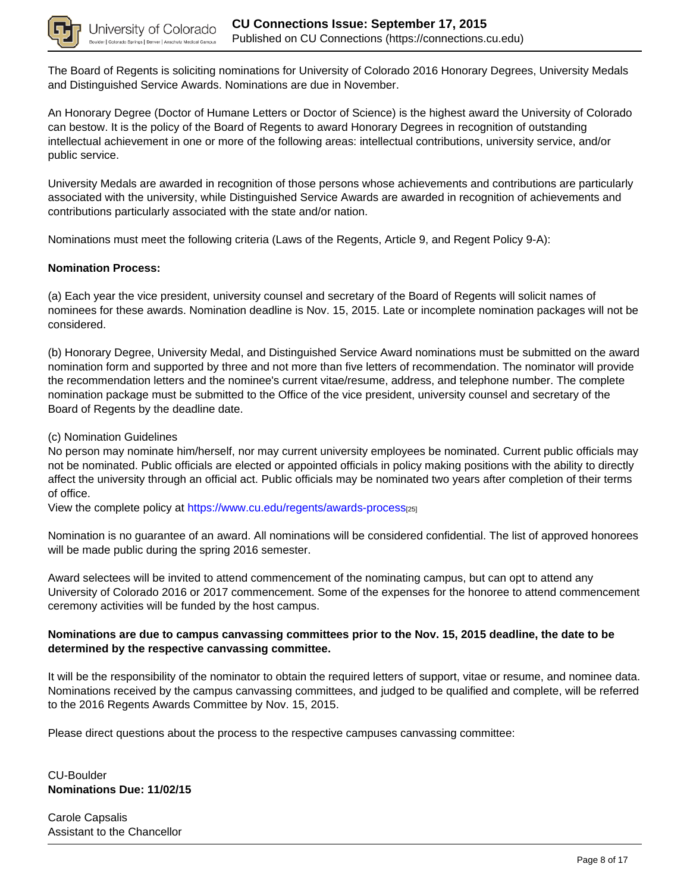

The Board of Regents is soliciting nominations for University of Colorado 2016 Honorary Degrees, University Medals and Distinguished Service Awards. Nominations are due in November.

An Honorary Degree (Doctor of Humane Letters or Doctor of Science) is the highest award the University of Colorado can bestow. It is the policy of the Board of Regents to award Honorary Degrees in recognition of outstanding intellectual achievement in one or more of the following areas: intellectual contributions, university service, and/or public service.

University Medals are awarded in recognition of those persons whose achievements and contributions are particularly associated with the university, while Distinguished Service Awards are awarded in recognition of achievements and contributions particularly associated with the state and/or nation.

Nominations must meet the following criteria (Laws of the Regents, Article 9, and Regent Policy 9-A):

### **Nomination Process:**

(a) Each year the vice president, university counsel and secretary of the Board of Regents will solicit names of nominees for these awards. Nomination deadline is Nov. 15, 2015. Late or incomplete nomination packages will not be considered.

(b) Honorary Degree, University Medal, and Distinguished Service Award nominations must be submitted on the award nomination form and supported by three and not more than five letters of recommendation. The nominator will provide the recommendation letters and the nominee's current vitae/resume, address, and telephone number. The complete nomination package must be submitted to the Office of the vice president, university counsel and secretary of the Board of Regents by the deadline date.

(c) Nomination Guidelines

No person may nominate him/herself, nor may current university employees be nominated. Current public officials may not be nominated. Public officials are elected or appointed officials in policy making positions with the ability to directly affect the university through an official act. Public officials may be nominated two years after completion of their terms of office.

View the complete policy at https://www.cu.edu/regents/awards-process[25]

Nomination is no guarantee of an award. All nominations will be considered confidential. The list of approved honorees will be made public during the spring 2016 semester.

Award selectees will be invited to attend commencement of the nominating campus, but can opt to attend any University of Colorado 2016 or 2017 commencement. Some of the expenses for the honoree to attend commencement ceremony activities will be funded by the host campus.

### **Nominations are due to campus canvassing committees prior to the Nov. 15, 2015 deadline, the date to be determined by the respective canvassing committee.**

It will be the responsibility of the nominator to obtain the required letters of support, vitae or resume, and nominee data. Nominations received by the campus canvassing committees, and judged to be qualified and complete, will be referred to the 2016 Regents Awards Committee by Nov. 15, 2015.

Please direct questions about the process to the respective campuses canvassing committee:

CU-Boulder **Nominations Due: 11/02/15** 

Carole Capsalis Assistant to the Chancellor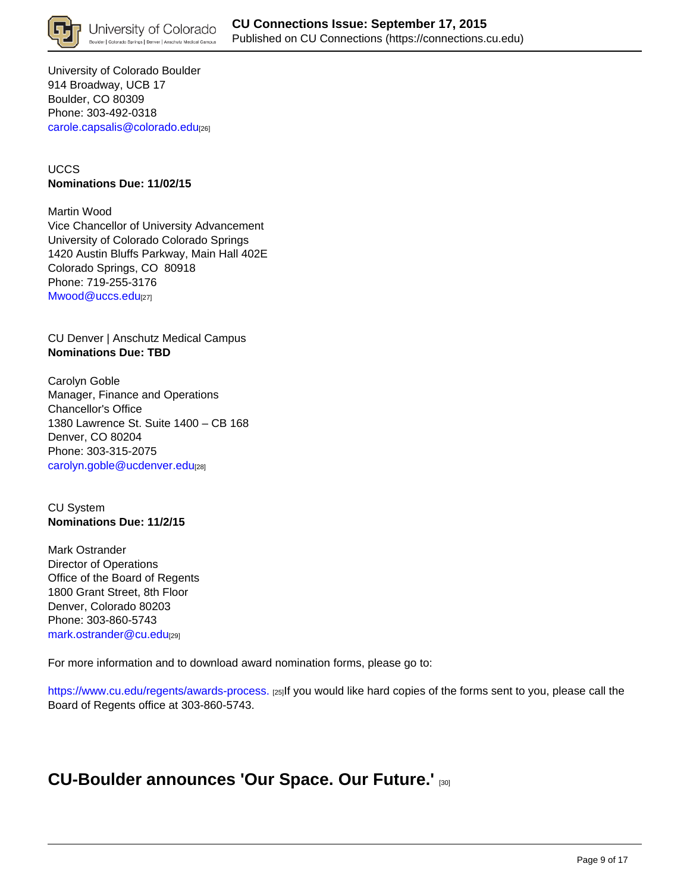

University of Colorado Boulder 914 Broadway, UCB 17 Boulder, CO 80309 Phone: 303-492-0318 carole.capsalis@colorado.edu[26]

### UCCS **Nominations Due: 11/02/15**

Martin Wood Vice Chancellor of University Advancement University of Colorado Colorado Springs 1420 Austin Bluffs Parkway, Main Hall 402E Colorado Springs, CO 80918 Phone: 719-255-3176 Mwood@uccs.edu<sup>[27]</sup>

CU Denver | Anschutz Medical Campus **Nominations Due: TBD**

Carolyn Goble Manager, Finance and Operations Chancellor's Office 1380 Lawrence St. Suite 1400 – CB 168 Denver, CO 80204 Phone: 303-315-2075 carolyn.goble@ucdenver.edu[28]

CU System **Nominations Due: 11/2/15**

Mark Ostrander Director of Operations Office of the Board of Regents 1800 Grant Street, 8th Floor Denver, Colorado 80203 Phone: 303-860-5743 mark.ostrander@cu.edu[29]

For more information and to download award nomination forms, please go to:

https://www.cu.edu/regents/awards-process. [25]If you would like hard copies of the forms sent to you, please call the Board of Regents office at 303-860-5743.

## **CU-Boulder announces 'Our Space. Our Future.'** [30]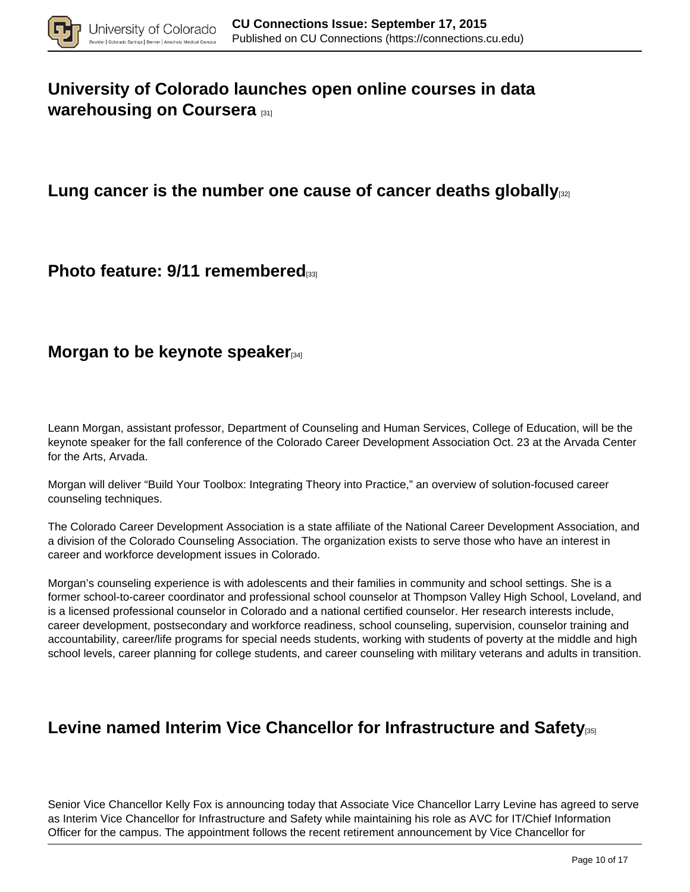

# **University of Colorado launches open online courses in data warehousing on Coursera** [31]

## Lung cancer is the number one cause of cancer deaths globally<sub>[32]</sub>

## **Photo feature: 9/11 remembered**

## **Morgan to be keynote speaker**<sup>[34]</sup>

Leann Morgan, assistant professor, Department of Counseling and Human Services, College of Education, will be the keynote speaker for the fall conference of the Colorado Career Development Association Oct. 23 at the Arvada Center for the Arts, Arvada.

Morgan will deliver "Build Your Toolbox: Integrating Theory into Practice," an overview of solution-focused career counseling techniques.

The Colorado Career Development Association is a state affiliate of the National Career Development Association, and a division of the Colorado Counseling Association. The organization exists to serve those who have an interest in career and workforce development issues in Colorado.

Morgan's counseling experience is with adolescents and their families in community and school settings. She is a former school-to-career coordinator and professional school counselor at Thompson Valley High School, Loveland, and is a licensed professional counselor in Colorado and a national certified counselor. Her research interests include, career development, postsecondary and workforce readiness, school counseling, supervision, counselor training and accountability, career/life programs for special needs students, working with students of poverty at the middle and high school levels, career planning for college students, and career counseling with military veterans and adults in transition.

## **Levine named Interim Vice Chancellor for Infrastructure and Safety**[35]

Senior Vice Chancellor Kelly Fox is announcing today that Associate Vice Chancellor Larry Levine has agreed to serve as Interim Vice Chancellor for Infrastructure and Safety while maintaining his role as AVC for IT/Chief Information Officer for the campus. The appointment follows the recent retirement announcement by Vice Chancellor for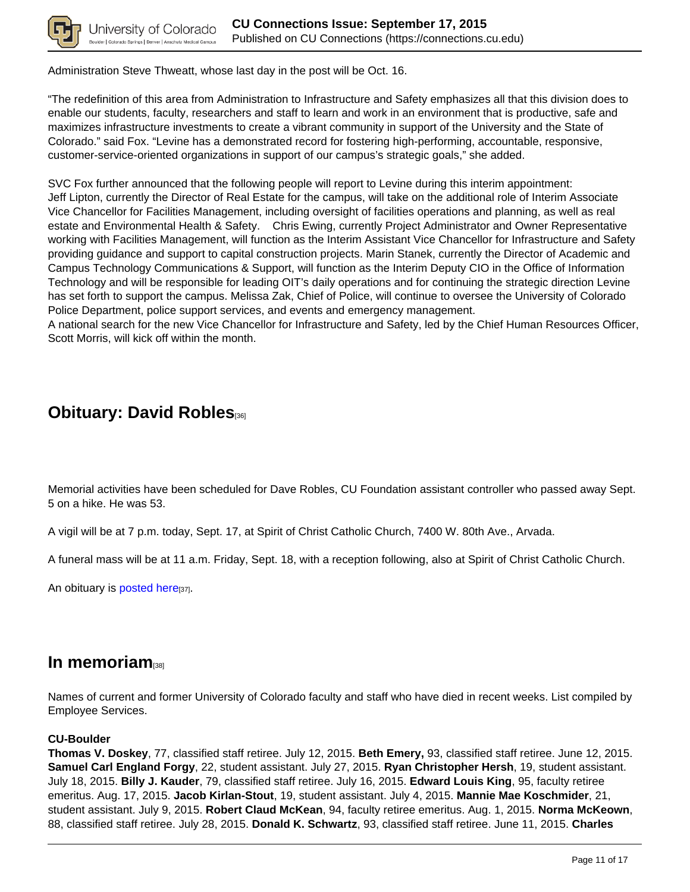

Administration Steve Thweatt, whose last day in the post will be Oct. 16.

"The redefinition of this area from Administration to Infrastructure and Safety emphasizes all that this division does to enable our students, faculty, researchers and staff to learn and work in an environment that is productive, safe and maximizes infrastructure investments to create a vibrant community in support of the University and the State of Colorado." said Fox. "Levine has a demonstrated record for fostering high-performing, accountable, responsive, customer-service-oriented organizations in support of our campus's strategic goals," she added.

SVC Fox further announced that the following people will report to Levine during this interim appointment: Jeff Lipton, currently the Director of Real Estate for the campus, will take on the additional role of Interim Associate Vice Chancellor for Facilities Management, including oversight of facilities operations and planning, as well as real estate and Environmental Health & Safety. Chris Ewing, currently Project Administrator and Owner Representative working with Facilities Management, will function as the Interim Assistant Vice Chancellor for Infrastructure and Safety providing guidance and support to capital construction projects. Marin Stanek, currently the Director of Academic and Campus Technology Communications & Support, will function as the Interim Deputy CIO in the Office of Information Technology and will be responsible for leading OIT's daily operations and for continuing the strategic direction Levine has set forth to support the campus. Melissa Zak, Chief of Police, will continue to oversee the University of Colorado Police Department, police support services, and events and emergency management.

A national search for the new Vice Chancellor for Infrastructure and Safety, led by the Chief Human Resources Officer, Scott Morris, will kick off within the month.

## **Obituary: David Robles**[36]

Memorial activities have been scheduled for Dave Robles, CU Foundation assistant controller who passed away Sept. 5 on a hike. He was 53.

A vigil will be at 7 p.m. today, Sept. 17, at Spirit of Christ Catholic Church, 7400 W. 80th Ave., Arvada.

A funeral mass will be at 11 a.m. Friday, Sept. 18, with a reception following, also at Spirit of Christ Catholic Church.

An obituary is posted here<sup>[37]</sup>.

### **In memoriam**

Names of current and former University of Colorado faculty and staff who have died in recent weeks. List compiled by Employee Services.

### **CU-Boulder**

**Thomas V. Doskey**, 77, classified staff retiree. July 12, 2015. **Beth Emery,** 93, classified staff retiree. June 12, 2015. **Samuel Carl England Forgy**, 22, student assistant. July 27, 2015. **Ryan Christopher Hersh**, 19, student assistant. July 18, 2015. **Billy J. Kauder**, 79, classified staff retiree. July 16, 2015. **Edward Louis King**, 95, faculty retiree emeritus. Aug. 17, 2015. **Jacob Kirlan-Stout**, 19, student assistant. July 4, 2015. **Mannie Mae Koschmider**, 21, student assistant. July 9, 2015. **Robert Claud McKean**, 94, faculty retiree emeritus. Aug. 1, 2015. **Norma McKeown**, 88, classified staff retiree. July 28, 2015. **Donald K. Schwartz**, 93, classified staff retiree. June 11, 2015. **Charles**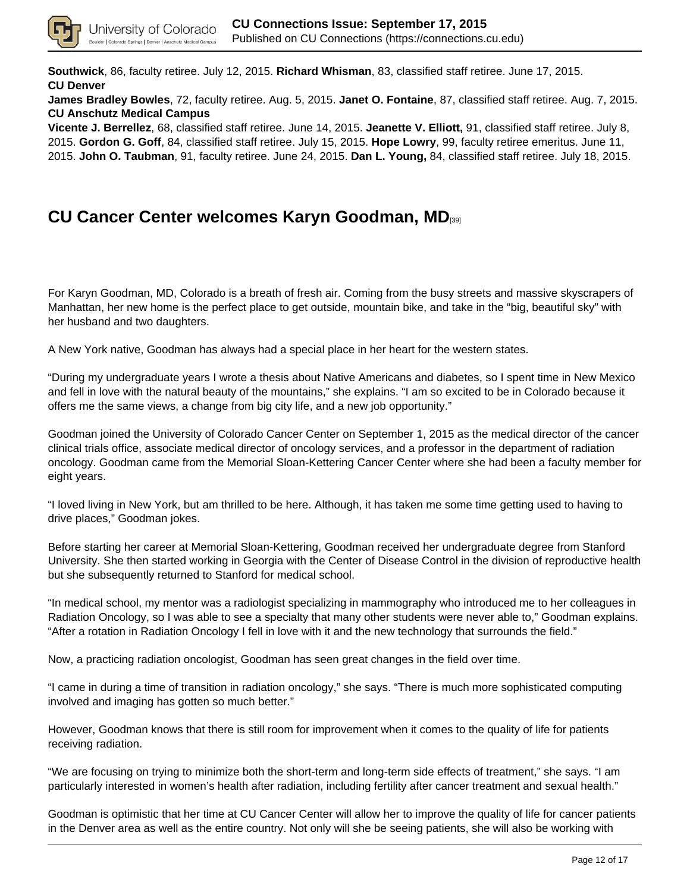

**Southwick**, 86, faculty retiree. July 12, 2015. **Richard Whisman**, 83, classified staff retiree. June 17, 2015. **CU Denver**

**James Bradley Bowles**, 72, faculty retiree. Aug. 5, 2015. **Janet O. Fontaine**, 87, classified staff retiree. Aug. 7, 2015. **CU Anschutz Medical Campus**

**Vicente J. Berrellez**, 68, classified staff retiree. June 14, 2015. **Jeanette V. Elliott,** 91, classified staff retiree. July 8, 2015. **Gordon G. Goff**, 84, classified staff retiree. July 15, 2015. **Hope Lowry**, 99, faculty retiree emeritus. June 11, 2015. **John O. Taubman**, 91, faculty retiree. June 24, 2015. **Dan L. Young,** 84, classified staff retiree. July 18, 2015.

## **CU Cancer Center welcomes Karyn Goodman, MD**[39]

For Karyn Goodman, MD, Colorado is a breath of fresh air. Coming from the busy streets and massive skyscrapers of Manhattan, her new home is the perfect place to get outside, mountain bike, and take in the "big, beautiful sky" with her husband and two daughters.

A New York native, Goodman has always had a special place in her heart for the western states.

"During my undergraduate years I wrote a thesis about Native Americans and diabetes, so I spent time in New Mexico and fell in love with the natural beauty of the mountains," she explains. "I am so excited to be in Colorado because it offers me the same views, a change from big city life, and a new job opportunity."

Goodman joined the University of Colorado Cancer Center on September 1, 2015 as the medical director of the cancer clinical trials office, associate medical director of oncology services, and a professor in the department of radiation oncology. Goodman came from the Memorial Sloan-Kettering Cancer Center where she had been a faculty member for eight years.

"I loved living in New York, but am thrilled to be here. Although, it has taken me some time getting used to having to drive places," Goodman jokes.

Before starting her career at Memorial Sloan-Kettering, Goodman received her undergraduate degree from Stanford University. She then started working in Georgia with the Center of Disease Control in the division of reproductive health but she subsequently returned to Stanford for medical school.

"In medical school, my mentor was a radiologist specializing in mammography who introduced me to her colleagues in Radiation Oncology, so I was able to see a specialty that many other students were never able to," Goodman explains. "After a rotation in Radiation Oncology I fell in love with it and the new technology that surrounds the field."

Now, a practicing radiation oncologist, Goodman has seen great changes in the field over time.

"I came in during a time of transition in radiation oncology," she says. "There is much more sophisticated computing involved and imaging has gotten so much better."

However, Goodman knows that there is still room for improvement when it comes to the quality of life for patients receiving radiation.

"We are focusing on trying to minimize both the short-term and long-term side effects of treatment," she says. "I am particularly interested in women's health after radiation, including fertility after cancer treatment and sexual health."

Goodman is optimistic that her time at CU Cancer Center will allow her to improve the quality of life for cancer patients in the Denver area as well as the entire country. Not only will she be seeing patients, she will also be working with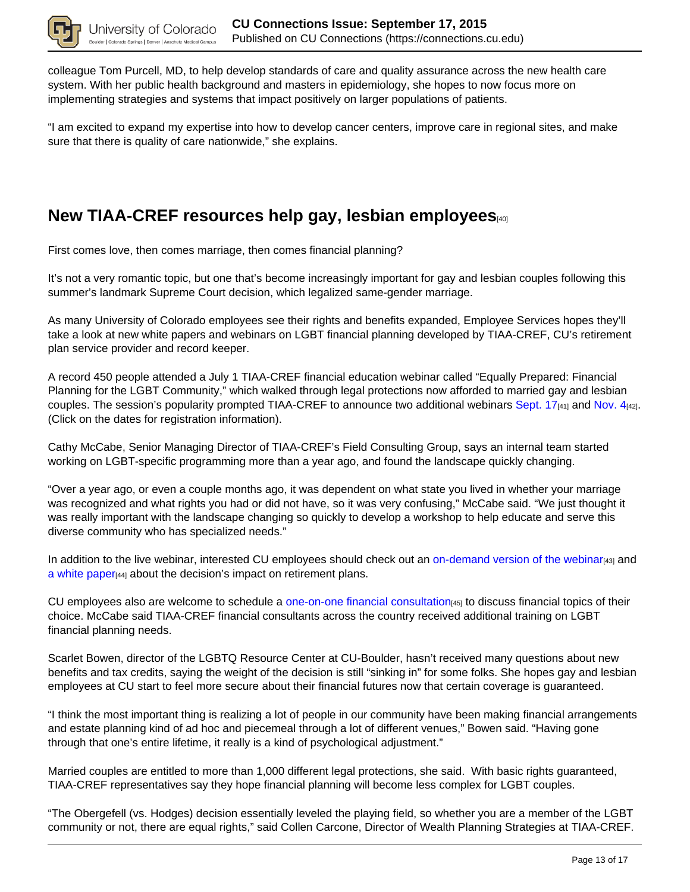

colleague Tom Purcell, MD, to help develop standards of care and quality assurance across the new health care system. With her public health background and masters in epidemiology, she hopes to now focus more on implementing strategies and systems that impact positively on larger populations of patients.

"I am excited to expand my expertise into how to develop cancer centers, improve care in regional sites, and make sure that there is quality of care nationwide," she explains.

## **New TIAA-CREF resources help gay, lesbian employees**[40]

First comes love, then comes marriage, then comes financial planning?

It's not a very romantic topic, but one that's become increasingly important for gay and lesbian couples following this summer's landmark Supreme Court decision, which legalized same-gender marriage.

As many University of Colorado employees see their rights and benefits expanded, Employee Services hopes they'll take a look at new white papers and webinars on LGBT financial planning developed by TIAA-CREF, CU's retirement plan service provider and record keeper.

A record 450 people attended a July 1 TIAA-CREF financial education webinar called "Equally Prepared: Financial Planning for the LGBT Community," which walked through legal protections now afforded to married gay and lesbian couples. The session's popularity prompted TIAA-CREF to announce two additional webinars Sept. 17<sup>[41]</sup> and Nov. 4[42]. (Click on the dates for registration information).

Cathy McCabe, Senior Managing Director of TIAA-CREF's Field Consulting Group, says an internal team started working on LGBT-specific programming more than a year ago, and found the landscape quickly changing.

"Over a year ago, or even a couple months ago, it was dependent on what state you lived in whether your marriage was recognized and what rights you had or did not have, so it was very confusing," McCabe said. "We just thought it was really important with the landscape changing so quickly to develop a workshop to help educate and serve this diverse community who has specialized needs."

In addition to the live webinar, interested CU employees should check out an on-demand version of the webinar<sub>[43]</sub> and a white paper[44] about the decision's impact on retirement plans.

CU employees also are welcome to schedule a one-on-one financial consultation<sub>[45]</sub> to discuss financial topics of their choice. McCabe said TIAA-CREF financial consultants across the country received additional training on LGBT financial planning needs.

Scarlet Bowen, director of the LGBTQ Resource Center at CU-Boulder, hasn't received many questions about new benefits and tax credits, saying the weight of the decision is still "sinking in" for some folks. She hopes gay and lesbian employees at CU start to feel more secure about their financial futures now that certain coverage is guaranteed.

"I think the most important thing is realizing a lot of people in our community have been making financial arrangements and estate planning kind of ad hoc and piecemeal through a lot of different venues," Bowen said. "Having gone through that one's entire lifetime, it really is a kind of psychological adjustment."

Married couples are entitled to more than 1,000 different legal protections, she said. With basic rights guaranteed, TIAA-CREF representatives say they hope financial planning will become less complex for LGBT couples.

"The Obergefell (vs. Hodges) decision essentially leveled the playing field, so whether you are a member of the LGBT community or not, there are equal rights," said Collen Carcone, Director of Wealth Planning Strategies at TIAA-CREF.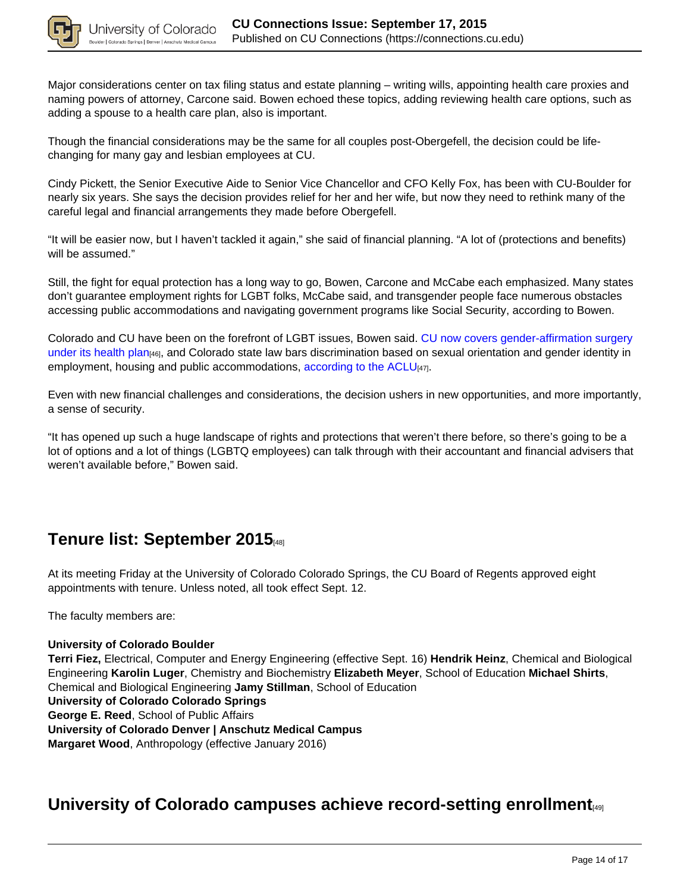

Major considerations center on tax filing status and estate planning – writing wills, appointing health care proxies and naming powers of attorney, Carcone said. Bowen echoed these topics, adding reviewing health care options, such as adding a spouse to a health care plan, also is important.

Though the financial considerations may be the same for all couples post-Obergefell, the decision could be lifechanging for many gay and lesbian employees at CU.

Cindy Pickett, the Senior Executive Aide to Senior Vice Chancellor and CFO Kelly Fox, has been with CU-Boulder for nearly six years. She says the decision provides relief for her and her wife, but now they need to rethink many of the careful legal and financial arrangements they made before Obergefell.

"It will be easier now, but I haven't tackled it again," she said of financial planning. "A lot of (protections and benefits) will be assumed."

Still, the fight for equal protection has a long way to go, Bowen, Carcone and McCabe each emphasized. Many states don't guarantee employment rights for LGBT folks, McCabe said, and transgender people face numerous obstacles accessing public accommodations and navigating government programs like Social Security, according to Bowen.

Colorado and CU have been on the forefront of LGBT issues, Bowen said. CU now covers gender-affirmation surgery under its health plan<sub>[46]</sub>, and Colorado state law bars discrimination based on sexual orientation and gender identity in employment, housing and public accommodations, according to the ACLU<sub>[47]</sub>.

Even with new financial challenges and considerations, the decision ushers in new opportunities, and more importantly, a sense of security.

"It has opened up such a huge landscape of rights and protections that weren't there before, so there's going to be a lot of options and a lot of things (LGBTQ employees) can talk through with their accountant and financial advisers that weren't available before," Bowen said.

## **Tenure list: September 2015**[48]

At its meeting Friday at the University of Colorado Colorado Springs, the CU Board of Regents approved eight appointments with tenure. Unless noted, all took effect Sept. 12.

The faculty members are:

#### **University of Colorado Boulder**

**Terri Fiez,** Electrical, Computer and Energy Engineering (effective Sept. 16) **Hendrik Heinz**, Chemical and Biological Engineering **Karolin Luger**, Chemistry and Biochemistry **Elizabeth Meyer**, School of Education **Michael Shirts**, Chemical and Biological Engineering **Jamy Stillman**, School of Education **University of Colorado Colorado Springs George E. Reed**, School of Public Affairs **University of Colorado Denver | Anschutz Medical Campus Margaret Wood**, Anthropology (effective January 2016)

## **University of Colorado campuses achieve record-setting enrollment**[49]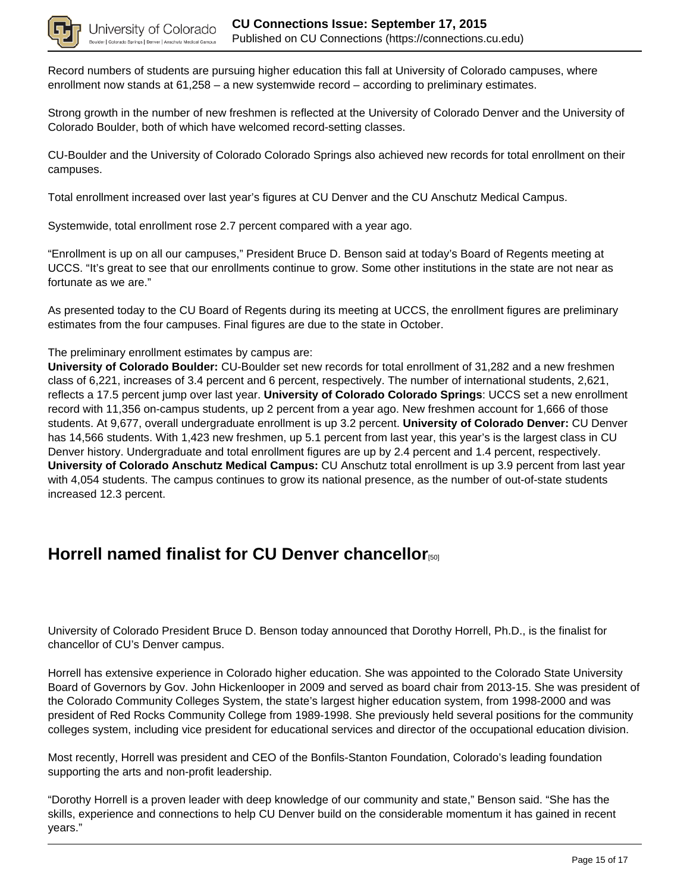

Record numbers of students are pursuing higher education this fall at University of Colorado campuses, where enrollment now stands at 61,258 – a new systemwide record – according to preliminary estimates.

Strong growth in the number of new freshmen is reflected at the University of Colorado Denver and the University of Colorado Boulder, both of which have welcomed record-setting classes.

CU-Boulder and the University of Colorado Colorado Springs also achieved new records for total enrollment on their campuses.

Total enrollment increased over last year's figures at CU Denver and the CU Anschutz Medical Campus.

Systemwide, total enrollment rose 2.7 percent compared with a year ago.

"Enrollment is up on all our campuses," President Bruce D. Benson said at today's Board of Regents meeting at UCCS. "It's great to see that our enrollments continue to grow. Some other institutions in the state are not near as fortunate as we are."

As presented today to the CU Board of Regents during its meeting at UCCS, the enrollment figures are preliminary estimates from the four campuses. Final figures are due to the state in October.

The preliminary enrollment estimates by campus are:

**University of Colorado Boulder:** CU-Boulder set new records for total enrollment of 31,282 and a new freshmen class of 6,221, increases of 3.4 percent and 6 percent, respectively. The number of international students, 2,621, reflects a 17.5 percent jump over last year. **University of Colorado Colorado Springs**: UCCS set a new enrollment record with 11,356 on-campus students, up 2 percent from a year ago. New freshmen account for 1,666 of those students. At 9,677, overall undergraduate enrollment is up 3.2 percent. **University of Colorado Denver:** CU Denver has 14,566 students. With 1,423 new freshmen, up 5.1 percent from last year, this year's is the largest class in CU Denver history. Undergraduate and total enrollment figures are up by 2.4 percent and 1.4 percent, respectively. **University of Colorado Anschutz Medical Campus:** CU Anschutz total enrollment is up 3.9 percent from last year with 4,054 students. The campus continues to grow its national presence, as the number of out-of-state students increased 12.3 percent.

## **Horrell named finalist for CU Denver chancellor**

University of Colorado President Bruce D. Benson today announced that Dorothy Horrell, Ph.D., is the finalist for chancellor of CU's Denver campus.

Horrell has extensive experience in Colorado higher education. She was appointed to the Colorado State University Board of Governors by Gov. John Hickenlooper in 2009 and served as board chair from 2013-15. She was president of the Colorado Community Colleges System, the state's largest higher education system, from 1998-2000 and was president of Red Rocks Community College from 1989-1998. She previously held several positions for the community colleges system, including vice president for educational services and director of the occupational education division.

Most recently, Horrell was president and CEO of the Bonfils-Stanton Foundation, Colorado's leading foundation supporting the arts and non-profit leadership.

"Dorothy Horrell is a proven leader with deep knowledge of our community and state," Benson said. "She has the skills, experience and connections to help CU Denver build on the considerable momentum it has gained in recent years."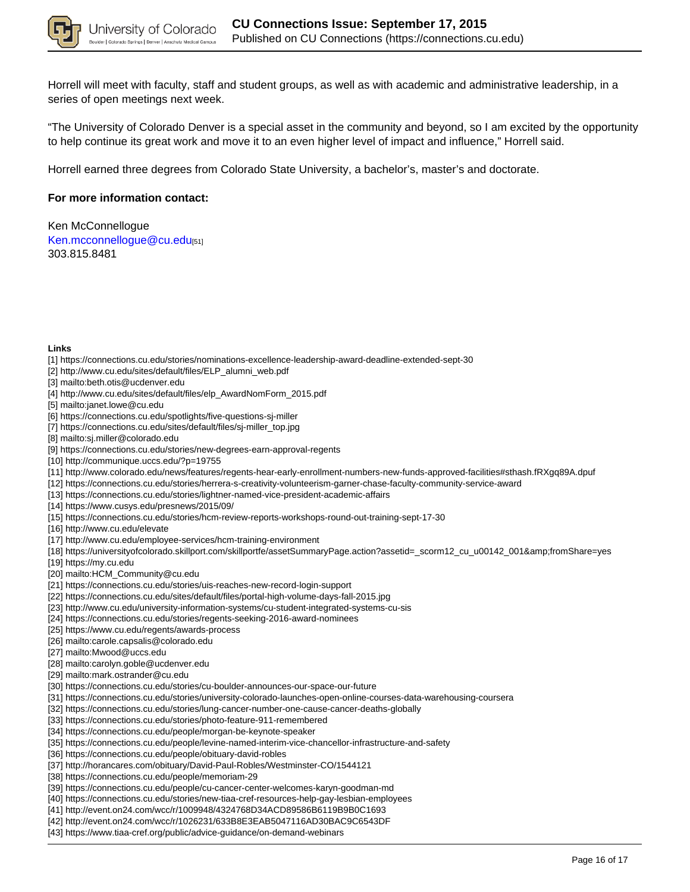

Horrell will meet with faculty, staff and student groups, as well as with academic and administrative leadership, in a series of open meetings next week.

"The University of Colorado Denver is a special asset in the community and beyond, so I am excited by the opportunity to help continue its great work and move it to an even higher level of impact and influence," Horrell said.

Horrell earned three degrees from Colorado State University, a bachelor's, master's and doctorate.

### **For more information contact:**

Ken McConnellogue Ken.mcconnellogue@cu.edu[51] 303.815.8481

#### **Links**

- [1] https://connections.cu.edu/stories/nominations-excellence-leadership-award-deadline-extended-sept-30
- [2] http://www.cu.edu/sites/default/files/ELP\_alumni\_web.pdf
- [3] mailto:beth.otis@ucdenver.edu
- [4] http://www.cu.edu/sites/default/files/elp\_AwardNomForm\_2015.pdf
- [5] mailto:janet.lowe@cu.edu
- [6] https://connections.cu.edu/spotlights/five-questions-sj-miller
- [7] https://connections.cu.edu/sites/default/files/sj-miller\_top.jpg
- [8] mailto:sj.miller@colorado.edu
- [9] https://connections.cu.edu/stories/new-degrees-earn-approval-regents
- [10] http://communique.uccs.edu/?p=19755
- [11] http://www.colorado.edu/news/features/regents-hear-early-enrollment-numbers-new-funds-approved-facilities#sthash.fRXgq89A.dpuf
- [12] https://connections.cu.edu/stories/herrera-s-creativity-volunteerism-garner-chase-faculty-community-service-award
- [13] https://connections.cu.edu/stories/lightner-named-vice-president-academic-affairs
- [14] https://www.cusys.edu/presnews/2015/09/
- [15] https://connections.cu.edu/stories/hcm-review-reports-workshops-round-out-training-sept-17-30
- [16] http://www.cu.edu/elevate
- [17] http://www.cu.edu/employee-services/hcm-training-environment
- [18] https://universityofcolorado.skillport.com/skillportfe/assetSummaryPage.action?assetid=\_scorm12\_cu\_u00142\_001&fromShare=yes
- [19] https://my.cu.edu
- [20] mailto:HCM\_Community@cu.edu
- [21] https://connections.cu.edu/stories/uis-reaches-new-record-login-support
- [22] https://connections.cu.edu/sites/default/files/portal-high-volume-days-fall-2015.jpg
- [23] http://www.cu.edu/university-information-systems/cu-student-integrated-systems-cu-sis
- [24] https://connections.cu.edu/stories/regents-seeking-2016-award-nominees
- [25] https://www.cu.edu/regents/awards-process
- [26] mailto:carole.capsalis@colorado.edu
- [27] mailto:Mwood@uccs.edu
- [28] mailto:carolyn.goble@ucdenver.edu
- [29] mailto:mark.ostrander@cu.edu
- [30] https://connections.cu.edu/stories/cu-boulder-announces-our-space-our-future
- [31] https://connections.cu.edu/stories/university-colorado-launches-open-online-courses-data-warehousing-coursera
- [32] https://connections.cu.edu/stories/lung-cancer-number-one-cause-cancer-deaths-globally
- [33] https://connections.cu.edu/stories/photo-feature-911-remembered
- [34] https://connections.cu.edu/people/morgan-be-keynote-speaker
- [35] https://connections.cu.edu/people/levine-named-interim-vice-chancellor-infrastructure-and-safety
- [36] https://connections.cu.edu/people/obituary-david-robles
- [37] http://horancares.com/obituary/David-Paul-Robles/Westminster-CO/1544121
- [38] https://connections.cu.edu/people/memoriam-29
- [39] https://connections.cu.edu/people/cu-cancer-center-welcomes-karyn-goodman-md
- [40] https://connections.cu.edu/stories/new-tiaa-cref-resources-help-gay-lesbian-employees
- [41] http://event.on24.com/wcc/r/1009948/4324768D34ACD89586B6119B9B0C1693
- [42] http://event.on24.com/wcc/r/1026231/633B8E3EAB5047116AD30BAC9C6543DF
- [43] https://www.tiaa-cref.org/public/advice-guidance/on-demand-webinars